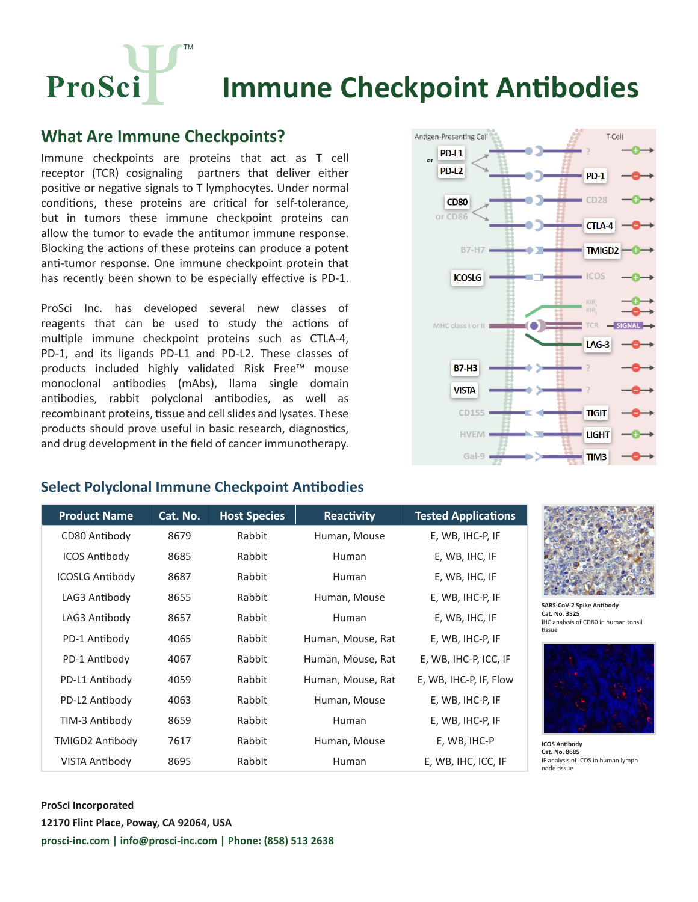ProSci **Immune Checkpoint Antibodies**

## **What Are Immune Checkpoints?**

Immune checkpoints are proteins that act as T cell receptor (TCR) cosignaling partners that deliver either positive or negative signals to T lymphocytes. Under normal conditions, these proteins are critical for self-tolerance, but in tumors these immune checkpoint proteins can allow the tumor to evade the antitumor immune response. Blocking the actions of these proteins can produce a potent anti-tumor response. One immune checkpoint protein that has recently been shown to be especially effective is PD-1.

ProSci Inc. has developed several new classes of reagents that can be used to study the actions of multiple immune checkpoint proteins such as CTLA-4, PD-1, and its ligands PD-L1 and PD-L2. These classes of products included highly validated Risk Free™ mouse monoclonal antibodies (mAbs), llama single domain antibodies, rabbit polyclonal antibodies, as well as recombinant proteins, tissue and cell slides and lysates. These products should prove useful in basic research, diagnostics, and drug development in the field of cancer immunotherapy.



## **Select Polyclonal Immune Checkpoint Antibodies**

| <b>Product Name</b>    | Cat. No. | <b>Host Species</b> | Reactivity        | <b>Tested Applications</b> |
|------------------------|----------|---------------------|-------------------|----------------------------|
| CD80 Antibody          | 8679     | Rabbit              | Human, Mouse      | E, WB, IHC-P, IF           |
| <b>ICOS Antibody</b>   | 8685     | Rabbit              | <b>Human</b>      | E, WB, IHC, IF             |
| <b>ICOSLG Antibody</b> | 8687     | Rabbit              | <b>Human</b>      | E, WB, IHC, IF             |
| LAG3 Antibody          | 8655     | Rabbit              | Human, Mouse      | E, WB, IHC-P, IF           |
| LAG3 Antibody          | 8657     | Rabbit              | <b>Human</b>      | E, WB, IHC, IF             |
| PD-1 Antibody          | 4065     | Rabbit              | Human, Mouse, Rat | E, WB, IHC-P, IF           |
| PD-1 Antibody          | 4067     | Rabbit              | Human, Mouse, Rat | E, WB, IHC-P, ICC, IF      |
| PD-L1 Antibody         | 4059     | Rabbit              | Human, Mouse, Rat | E, WB, IHC-P, IF, Flow     |
| PD-L2 Antibody         | 4063     | Rabbit              | Human, Mouse      | E, WB, IHC-P, IF           |
| TIM-3 Antibody         | 8659     | Rabbit              | <b>Human</b>      | E, WB, IHC-P, IF           |
| <b>TMIGD2 Antibody</b> | 7617     | Rabbit              | Human, Mouse      | E, WB, IHC-P               |
| <b>VISTA Antibody</b>  | 8695     | Rabbit              | <b>Human</b>      | E, WB, IHC, ICC, IF        |



**SARS-CoV-2 Spike Antibody Cat. No. 3525** C analysis of CD80 in human tonsil ens<br>Sup



**ICOS Antibody Cat. No. 8685** analysis of ICOS in human lymph de tissue

### **ProSci Incorporated 12170 Flint Place, Poway, CA 92064, USA prosci-inc.com | info@prosci-inc.com | Phone: (858) 513 2638**